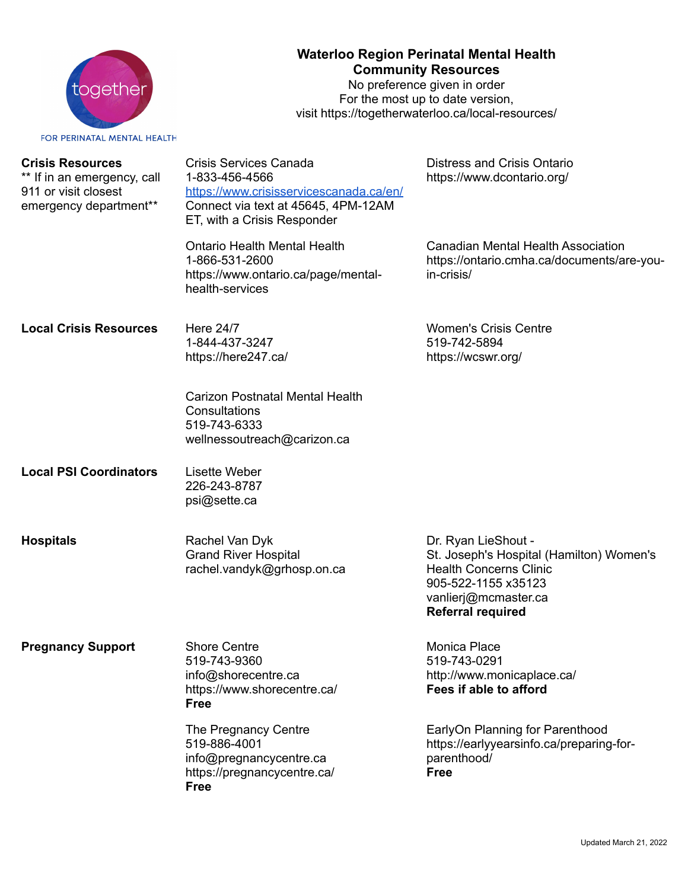

## **Waterloo Region Perinatal Mental Health Community Resources**

No preference given in order For the most up to date version, visit https://togetherwaterloo.ca/local-resources/

FOR PERINATAL MENTAL HEALTH

| <b>Crisis Resources</b><br>** If in an emergency, call<br>911 or visit closest<br>emergency department** | Crisis Services Canada<br>1-833-456-4566<br>https://www.crisisservicescanada.ca/en/<br>Connect via text at 45645, 4PM-12AM<br>ET, with a Crisis Responder | Distress and Crisis Ontario<br>https://www.dcontario.org/                                                                                                                   |
|----------------------------------------------------------------------------------------------------------|-----------------------------------------------------------------------------------------------------------------------------------------------------------|-----------------------------------------------------------------------------------------------------------------------------------------------------------------------------|
|                                                                                                          | <b>Ontario Health Mental Health</b><br>1-866-531-2600<br>https://www.ontario.ca/page/mental-<br>health-services                                           | <b>Canadian Mental Health Association</b><br>https://ontario.cmha.ca/documents/are-you-<br>in-crisis/                                                                       |
| <b>Local Crisis Resources</b>                                                                            | Here 24/7<br>1-844-437-3247<br>https://here247.ca/                                                                                                        | <b>Women's Crisis Centre</b><br>519-742-5894<br>https://wcswr.org/                                                                                                          |
|                                                                                                          | <b>Carizon Postnatal Mental Health</b><br>Consultations<br>519-743-6333<br>wellnessoutreach@carizon.ca                                                    |                                                                                                                                                                             |
| <b>Local PSI Coordinators</b>                                                                            | <b>Lisette Weber</b><br>226-243-8787<br>psi@sette.ca                                                                                                      |                                                                                                                                                                             |
| <b>Hospitals</b>                                                                                         | Rachel Van Dyk<br><b>Grand River Hospital</b><br>rachel.vandyk@grhosp.on.ca                                                                               | Dr. Ryan LieShout -<br>St. Joseph's Hospital (Hamilton) Women's<br><b>Health Concerns Clinic</b><br>905-522-1155 x35123<br>vanlierj@mcmaster.ca<br><b>Referral required</b> |
| <b>Pregnancy Support</b>                                                                                 | <b>Shore Centre</b><br>519-743-9360<br>info@shorecentre.ca<br>https://www.shorecentre.ca/<br><b>Free</b>                                                  | Monica Place<br>519-743-0291<br>http://www.monicaplace.ca/<br>Fees if able to afford                                                                                        |
|                                                                                                          | The Pregnancy Centre<br>519-886-4001<br>info@pregnancycentre.ca<br>https://pregnancycentre.ca/<br><b>Free</b>                                             | EarlyOn Planning for Parenthood<br>https://earlyyearsinfo.ca/preparing-for-<br>parenthood/<br><b>Free</b>                                                                   |